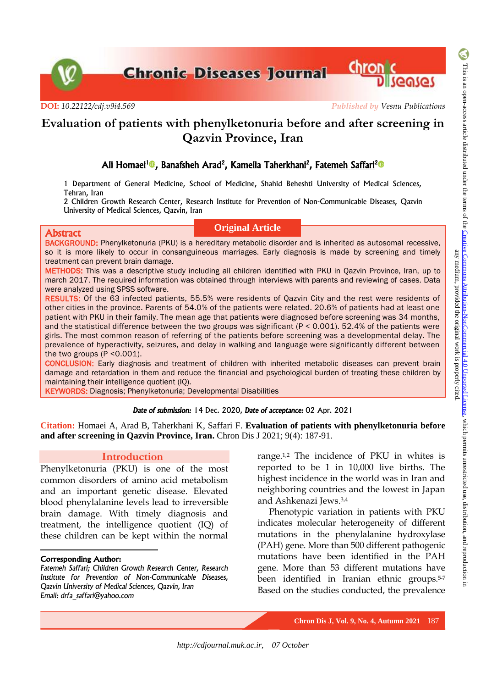**Chronic Diseases Journal Chronic** 

**DOI:** *[10.22122/cdj.v9i4.569](http://dx.doi.org/10.22122/cdj.v9i4.569) Published by Vesnu Publications*

# **Evaluation of patients with phenylketonuria before and after screening in Qazvin Province, Iran**

# Ali Homaei<sup>[1](https://orcid.org/0000-0001-5926-5482)</sup> , Banafsheh Arad<sup>2</sup>, Kamelia Taherkhani<sup>2</sup>, Fatemeh Saffari<sup>2</sup> D

1 Department of General Medicine, School of Medicine, Shahid Beheshti University of Medical Sciences, Tehran, Iran

2 Children Growth Research Center, Research Institute for Prevention of Non-Communicable Diseases, Qazvin University of Medical Sciences, Qazvin, Iran

#### Abstract

## **Original Article**

BACKGROUND: Phenylketonuria (PKU) is a hereditary metabolic disorder and is inherited as autosomal recessive, so it is more likely to occur in consanguineous marriages. Early diagnosis is made by screening and timely treatment can prevent brain damage.

METHODS: This was a descriptive study including all children identified with PKU in Qazvin Province, Iran, up to march 2017. The required information was obtained through interviews with parents and reviewing of cases. Data were analyzed using SPSS software.

RESULTS: Of the 63 infected patients, 55.5% were residents of Qazvin City and the rest were residents of other cities in the province. Parents of 54.0% of the patients were related. 20.6% of patients had at least one patient with PKU in their family. The mean age that patients were diagnosed before screening was 34 months, and the statistical difference between the two groups was significant (P < 0.001). 52.4% of the patients were girls. The most common reason of referring of the patients before screening was a developmental delay. The prevalence of hyperactivity, seizures, and delay in walking and language were significantly different between the two groups  $(P < 0.001)$ .

CONCLUSION: Early diagnosis and treatment of children with inherited metabolic diseases can prevent brain damage and retardation in them and reduce the financial and psychological burden of treating these children by maintaining their intelligence quotient (IQ).

KEYWORDS: Diagnosis; Phenylketonuria; Developmental Disabilities

#### *Date of submission:* 14 Dec. 2020, *Date of acceptance:* 02 Apr. 2021

**Citation:** Homaei A, Arad B, Taherkhani K, Saffari F. **Evaluation of patients with phenylketonuria before and after screening in Qazvin Province, Iran.** Chron Dis J 2021; 9(4): 187-91.

# **Introduction**

Phenylketonuria (PKU) is one of the most common disorders of amino acid metabolism and an important genetic disease. Elevated blood phenylalanine levels lead to irreversible brain damage. With timely diagnosis and treatment, the intelligence quotient (IQ) of these children can be kept within the normal

## Corresponding Author:

 $\overline{a}$ 

*Fatemeh Saffari; Children Growth Research Center, Research Institute for Prevention of Non-Communicable Diseases, Qazvin University of Medical Sciences, Qazvin, Iran Email: drfa\_saffari@yahoo.com*

range.1,2 The incidence of PKU in whites is reported to be 1 in 10,000 live births. The highest incidence in the world was in Iran and neighboring countries and the lowest in Japan and Ashkenazi Jews.3,4

Phenotypic variation in patients with PKU indicates molecular heterogeneity of different mutations in the phenylalanine hydroxylase (PAH) gene. More than 500 different pathogenic mutations have been identified in the PAH gene. More than 53 different mutations have been identified in Iranian ethnic groups.5-7 Based on the studies conducted, the prevalence

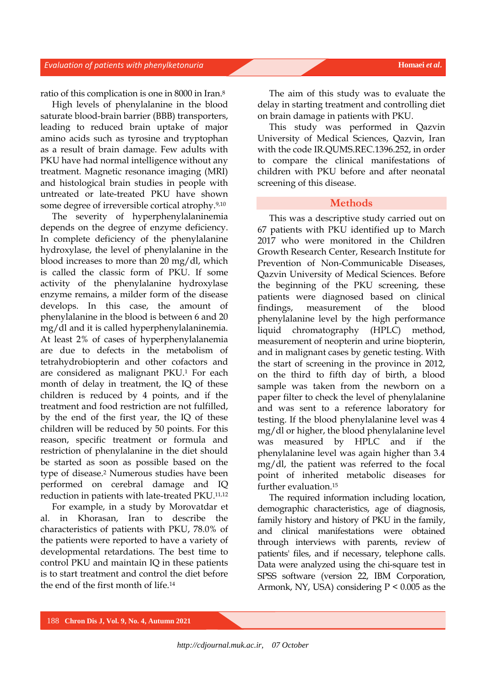## **Evaluation of patients with phenylketonuria Homaei** *et al.* **Homaei** *et al.*

ratio of this complication is one in 8000 in Iran. 8

High levels of phenylalanine in the blood saturate blood-brain barrier (BBB) transporters, leading to reduced brain uptake of major amino acids such as tyrosine and tryptophan as a result of brain damage. Few adults with PKU have had normal intelligence without any treatment. Magnetic resonance imaging (MRI) and histological brain studies in people with untreated or late-treated PKU have shown some degree of irreversible cortical atrophy.9,10

The severity of hyperphenylalaninemia depends on the degree of enzyme deficiency. In complete deficiency of the phenylalanine hydroxylase, the level of phenylalanine in the blood increases to more than 20 mg/dl, which is called the classic form of PKU. If some activity of the phenylalanine hydroxylase enzyme remains, a milder form of the disease develops. In this case, the amount of phenylalanine in the blood is between 6 and 20 mg/dl and it is called hyperphenylalaninemia. At least 2% of cases of hyperphenylalanemia are due to defects in the metabolism of tetrahydrobiopterin and other cofactors and are considered as malignant PKU.<sup>1</sup> For each month of delay in treatment, the IQ of these children is reduced by 4 points, and if the treatment and food restriction are not fulfilled, by the end of the first year, the IQ of these children will be reduced by 50 points. For this reason, specific treatment or formula and restriction of phenylalanine in the diet should be started as soon as possible based on the type of disease.<sup>2</sup> Numerous studies have been performed on cerebral damage and IQ reduction in patients with late-treated PKU.11,12

For example, in a study by Morovatdar et al. in Khorasan, Iran to describe the characteristics of patients with PKU, 78.0% of the patients were reported to have a variety of developmental retardations. The best time to control PKU and maintain IQ in these patients is to start treatment and control the diet before the end of the first month of life.<sup>14</sup>

The aim of this study was to evaluate the delay in starting treatment and controlling diet on brain damage in patients with PKU.

This study was performed in Qazvin University of Medical Sciences, Qazvin, Iran with the code IR.QUMS.REC.1396.252, in order to compare the clinical manifestations of children with PKU before and after neonatal screening of this disease.

### **Methods**

This was a descriptive study carried out on 67 patients with PKU identified up to March 2017 who were monitored in the Children Growth Research Center, Research Institute for Prevention of Non-Communicable Diseases, Qazvin University of Medical Sciences. Before the beginning of the PKU screening, these patients were diagnosed based on clinical findings, measurement of the blood phenylalanine level by the high performance liquid chromatography (HPLC) method, measurement of neopterin and urine biopterin, and in malignant cases by genetic testing. With the start of screening in the province in 2012, on the third to fifth day of birth, a blood sample was taken from the newborn on a paper filter to check the level of phenylalanine and was sent to a reference laboratory for testing. If the blood phenylalanine level was 4 mg/dl or higher, the blood phenylalanine level was measured by HPLC and if the phenylalanine level was again higher than 3.4 mg/dl, the patient was referred to the focal point of inherited metabolic diseases for further evaluation.<sup>15</sup>

The required information including location, demographic characteristics, age of diagnosis, family history and history of PKU in the family, and clinical manifestations were obtained through interviews with parents, review of patients' files, and if necessary, telephone calls. Data were analyzed using the chi-square test in SPSS software (version 22, IBM Corporation, Armonk, NY, USA) considering  $P < 0.005$  as the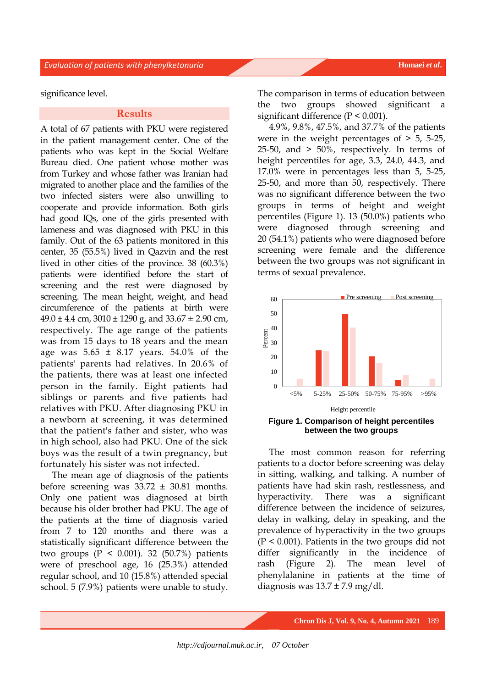significance level.

# **Results**

A total of 67 patients with PKU were registered in the patient management center. One of the patients who was kept in the Social Welfare Bureau died. One patient whose mother was from Turkey and whose father was Iranian had migrated to another place and the families of the two infected sisters were also unwilling to cooperate and provide information. Both girls had good IQs, one of the girls presented with lameness and was diagnosed with PKU in this family. Out of the 63 patients monitored in this center, 35 (55.5%) lived in Qazvin and the rest lived in other cities of the province. 38 (60.3%) patients were identified before the start of screening and the rest were diagnosed by screening. The mean height, weight, and head circumference of the patients at birth were  $49.0 \pm 4.4$  cm,  $3010 \pm 1290$  g, and  $33.67 \pm 2.90$  cm, respectively. The age range of the patients was from 15 days to 18 years and the mean age was  $5.65 \pm 8.17$  years.  $54.0\%$  of the patients' parents had relatives. In 20.6% of the patients, there was at least one infected person in the family. Eight patients had siblings or parents and five patients had relatives with PKU. After diagnosing PKU in a newborn at screening, it was determined that the patient's father and sister, who was in high school, also had PKU. One of the sick boys was the result of a twin pregnancy, but fortunately his sister was not infected.

The mean age of diagnosis of the patients before screening was 33.72 ± 30.81 months. Only one patient was diagnosed at birth because his older brother had PKU. The age of the patients at the time of diagnosis varied from 7 to 120 months and there was a statistically significant difference between the two groups  $(P < 0.001)$ . 32  $(50.7%)$  patients were of preschool age, 16 (25.3%) attended regular school, and 10 (15.8%) attended special school. 5 (7.9%) patients were unable to study. The comparison in terms of education between the two groups showed significant a significant difference (P < 0.001).

4.9%, 9.8%, 47.5%, and 37.7% of the patients were in the weight percentages of  $> 5$ , 5-25,  $25-50$ , and  $> 50\%$ , respectively. In terms of height percentiles for age, 3.3, 24.0, 44.3, and 17.0% were in percentages less than 5, 5-25, 25-50, and more than 50, respectively. There was no significant difference between the two groups in terms of height and weight percentiles (Figure 1). 13 (50.0%) patients who were diagnosed through screening and 20 (54.1%) patients who were diagnosed before screening were female and the difference between the two groups was not significant in terms of sexual prevalence.



**Figure 1. Comparison of height percentiles between the two groups**

The most common reason for referring patients to a doctor before screening was delay in sitting, walking, and talking. A number of patients have had skin rash, restlessness, and hyperactivity. There was a significant difference between the incidence of seizures, delay in walking, delay in speaking, and the prevalence of hyperactivity in the two groups (P < 0.001). Patients in the two groups did not differ significantly in the incidence of rash (Figure 2). The mean level of phenylalanine in patients at the time of diagnosis was  $13.7 \pm 7.9$  mg/dl.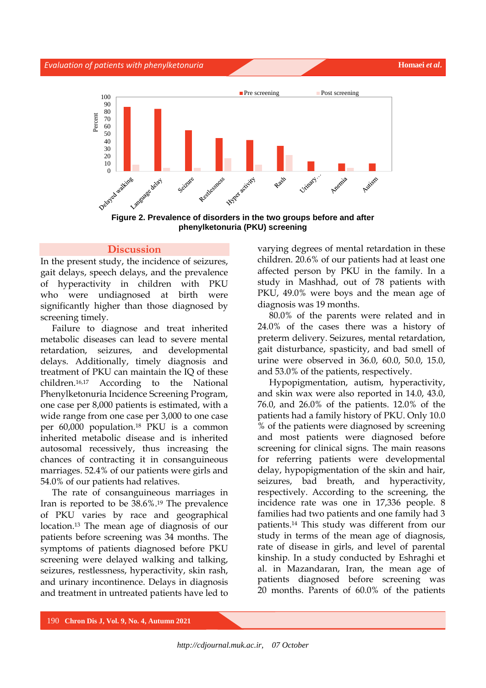#### **Evaluation of patients with phenylketonuria Homaei** *et al.* **Homaei** *et al.*



**Figure 2. Prevalence of disorders in the two groups before and after phenylketonuria (PKU) screening**

## **Discussion**

In the present study, the incidence of seizures, gait delays, speech delays, and the prevalence of hyperactivity in children with PKU who were undiagnosed at birth were significantly higher than those diagnosed by screening timely.

Failure to diagnose and treat inherited metabolic diseases can lead to severe mental retardation, seizures, and developmental delays. Additionally, timely diagnosis and treatment of PKU can maintain the IQ of these children.16,17 According to the National Phenylketonuria Incidence Screening Program, one case per 8,000 patients is estimated, with a wide range from one case per 3,000 to one case per 60,000 population. <sup>18</sup> PKU is a common inherited metabolic disease and is inherited autosomal recessively, thus increasing the chances of contracting it in consanguineous marriages. 52.4% of our patients were girls and 54.0% of our patients had relatives.

The rate of consanguineous marriages in Iran is reported to be 38.6%. <sup>19</sup> The prevalence of PKU varies by race and geographical location. <sup>13</sup> The mean age of diagnosis of our patients before screening was 34 months. The symptoms of patients diagnosed before PKU screening were delayed walking and talking, seizures, restlessness, hyperactivity, skin rash, and urinary incontinence. Delays in diagnosis and treatment in untreated patients have led to

varying degrees of mental retardation in these children. 20.6% of our patients had at least one affected person by PKU in the family. In a study in Mashhad, out of 78 patients with PKU, 49.0% were boys and the mean age of diagnosis was 19 months.

80.0% of the parents were related and in 24.0% of the cases there was a history of preterm delivery. Seizures, mental retardation, gait disturbance, spasticity, and bad smell of urine were observed in 36.0, 60.0, 50.0, 15.0, and 53.0% of the patients, respectively.

Hypopigmentation, autism, hyperactivity, and skin wax were also reported in 14.0, 43.0, 76.0, and 26.0% of the patients. 12.0% of the patients had a family history of PKU. Only 10.0 % of the patients were diagnosed by screening and most patients were diagnosed before screening for clinical signs. The main reasons for referring patients were developmental delay, hypopigmentation of the skin and hair, seizures, bad breath, and hyperactivity, respectively. According to the screening, the incidence rate was one in 17,336 people. 8 families had two patients and one family had 3 patients.<sup>14</sup> This study was different from our study in terms of the mean age of diagnosis, rate of disease in girls, and level of parental kinship. In a study conducted by Eshraghi et al. in Mazandaran, Iran, the mean age of patients diagnosed before screening was 20 months. Parents of 60.0% of the patients